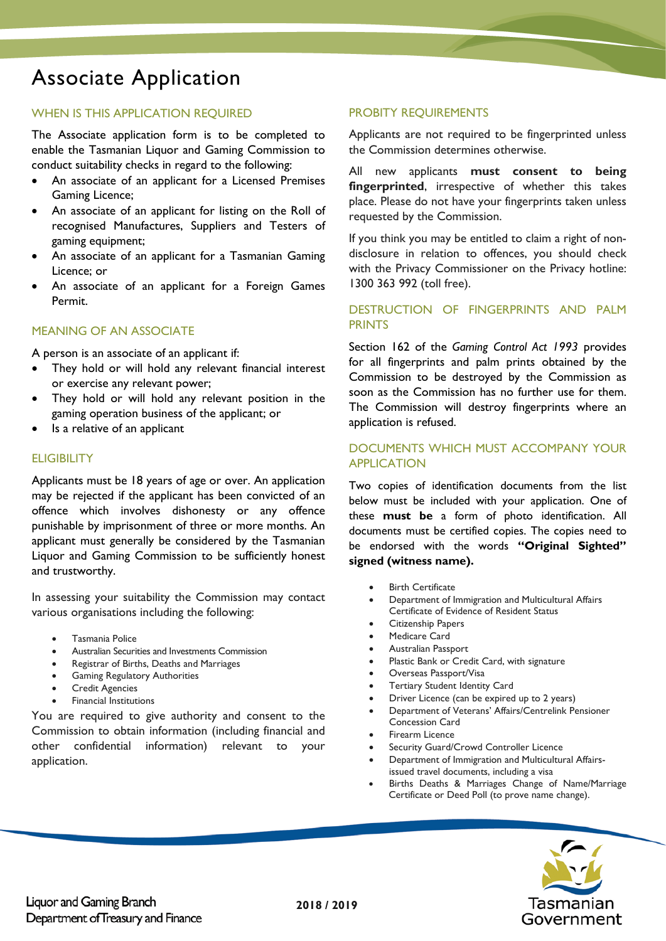# Associate Application

# WHEN IS THIS APPLICATION REQUIRED

The Associate application form is to be completed to enable the Tasmanian Liquor and Gaming Commission to conduct suitability checks in regard to the following:

- An associate of an applicant for a Licensed Premises Gaming Licence;
- An associate of an applicant for listing on the Roll of recognised Manufactures, Suppliers and Testers of gaming equipment;
- An associate of an applicant for a Tasmanian Gaming Licence; or
- An associate of an applicant for a Foreign Games Permit.

## MEANING OF AN ASSOCIATE

A person is an associate of an applicant if:

- They hold or will hold any relevant financial interest or exercise any relevant power;
- They hold or will hold any relevant position in the gaming operation business of the applicant; or
- Is a relative of an applicant

## **ELIGIBILITY**

Applicants must be 18 years of age or over. An application may be rejected if the applicant has been convicted of an offence which involves dishonesty or any offence punishable by imprisonment of three or more months. An applicant must generally be considered by the Tasmanian Liquor and Gaming Commission to be sufficiently honest and trustworthy.

In assessing your suitability the Commission may contact various organisations including the following:

- Tasmania Police
- Australian Securities and Investments Commission
- Registrar of Births, Deaths and Marriages
- Gaming Regulatory Authorities
- **Credit Agencies**
- Financial Institutions

You are required to give authority and consent to the Commission to obtain information (including financial and other confidential information) relevant to your application.

#### PROBITY REQUIREMENTS

Applicants are not required to be fingerprinted unless the Commission determines otherwise.

All new applicants **must consent to being fingerprinted**, irrespective of whether this takes place. Please do not have your fingerprints taken unless requested by the Commission.

If you think you may be entitled to claim a right of nondisclosure in relation to offences, you should check with the Privacy Commissioner on the Privacy hotline: 1300 363 992 (toll free).

## DESTRUCTION OF FINGERPRINTS AND PALM PRINTS

Section 162 of the *Gaming Control Act 1993* provides for all fingerprints and palm prints obtained by the Commission to be destroyed by the Commission as soon as the Commission has no further use for them. The Commission will destroy fingerprints where an application is refused.

# DOCUMENTS WHICH MUST ACCOMPANY YOUR APPLICATION

Two copies of identification documents from the list below must be included with your application. One of these **must be** a form of photo identification. All documents must be certified copies. The copies need to be endorsed with the words **"Original Sighted" signed (witness name).**

- **Birth Certificate**
- Department of Immigration and Multicultural Affairs Certificate of Evidence of Resident Status
- Citizenship Papers
- Medicare Card
- Australian Passport
- Plastic Bank or Credit Card, with signature
- Overseas Passport/Visa
- **Tertiary Student Identity Card**
- Driver Licence (can be expired up to 2 years)
- Department of Veterans' Affairs/Centrelink Pensioner Concession Card
- Firearm Licence
- Security Guard/Crowd Controller Licence
- Department of Immigration and Multicultural Affairsissued travel documents, including a visa
- Births Deaths & Marriages Change of Name/Marriage Certificate or Deed Poll (to prove name change).